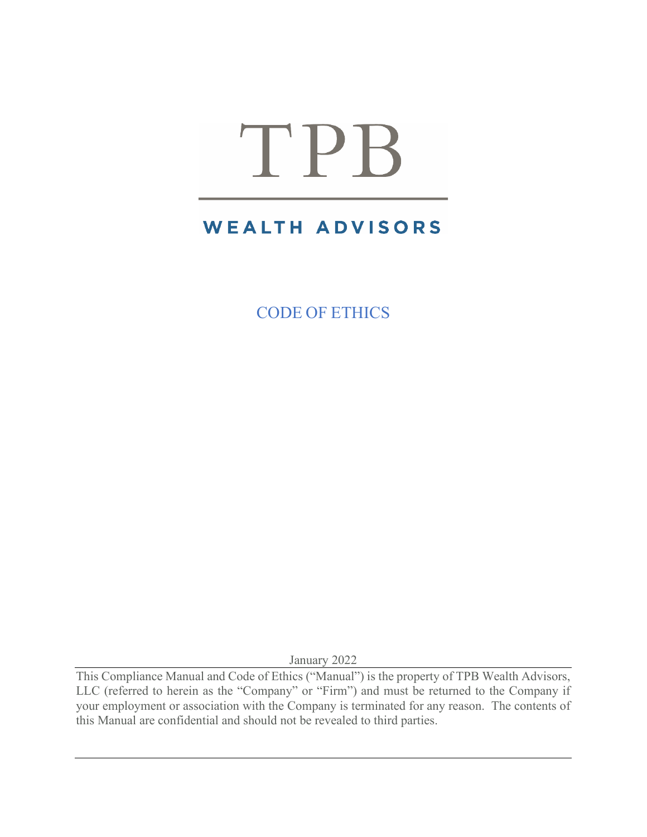# TPB

# **WEALTH ADVISORS**

CODE OF ETHICS

January 2022

This Compliance Manual and Code of Ethics ("Manual") is the property of TPB Wealth Advisors, LLC (referred to herein as the "Company" or "Firm") and must be returned to the Company if your employment or association with the Company is terminated for any reason. The contents of this Manual are confidential and should not be revealed to third parties.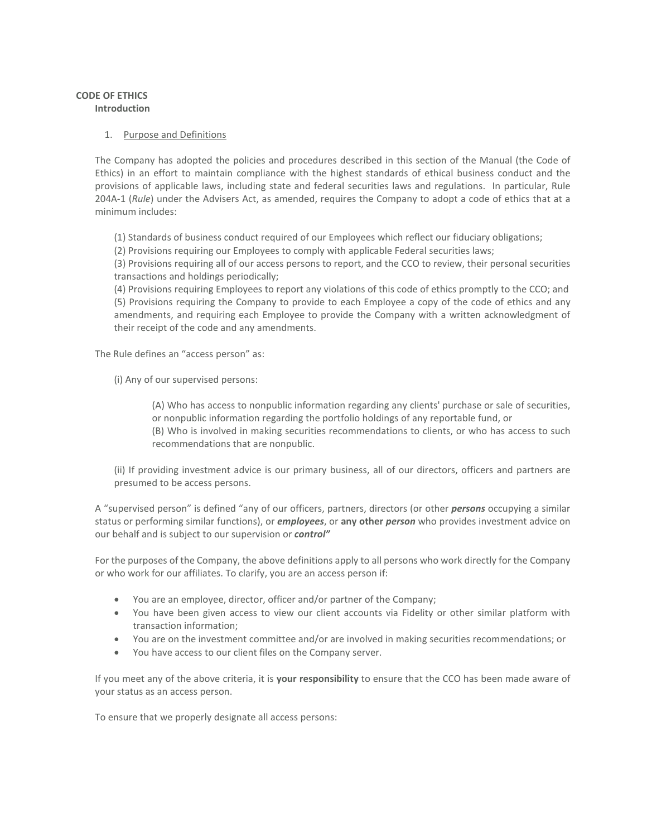#### **CODE OF ETHICS Introduction**

#### 1. Purpose and Definitions

The Company has adopted the policies and procedures described in this section of the Manual (the Code of Ethics) in an effort to maintain compliance with the highest standards of ethical business conduct and the provisions of applicable laws, including state and federal securities laws and regulations. In particular, Rule 204A-1 (*Rule*) under the Advisers Act, as amended, requires the Company to adopt a code of ethics that at a minimum includes:

(1) Standards of business conduct required of our Employees which reflect our fiduciary obligations;

(2) Provisions requiring our Employees to comply with applicable Federal securities laws;

(3) Provisions requiring all of our access persons to report, and the CCO to review, their personal securities transactions and holdings periodically;

(4) Provisions requiring Employees to report any violations of this code of ethics promptly to the CCO; and (5) Provisions requiring the Company to provide to each Employee a copy of the code of ethics and any amendments, and requiring each Employee to provide the Company with a written acknowledgment of their receipt of the code and any amendments.

The Rule defines an "access person" as:

(i) Any of our supervised persons:

(A) Who has access to nonpublic information regarding any clients' purchase or sale of securities, or nonpublic information regarding the portfolio holdings of any reportable fund, or

(B) Who is involved in making securities recommendations to clients, or who has access to such recommendations that are nonpublic.

(ii) If providing investment advice is our primary business, all of our directors, officers and partners are presumed to be access persons.

A "supervised person" is defined "any of our officers, partners, directors (or other *persons* occupying a similar status or performing similar functions), or *employees*, or **any other** *person* who provides investment advice on our behalf and is subject to our supervision or *control"*

For the purposes of the Company, the above definitions apply to all persons who work directly for the Company or who work for our affiliates. To clarify, you are an access person if:

- You are an employee, director, officer and/or partner of the Company;
- You have been given access to view our client accounts via Fidelity or other similar platform with transaction information;
- You are on the investment committee and/or are involved in making securities recommendations; or
- You have access to our client files on the Company server.

If you meet any of the above criteria, it is **your responsibility** to ensure that the CCO has been made aware of your status as an access person.

To ensure that we properly designate all access persons: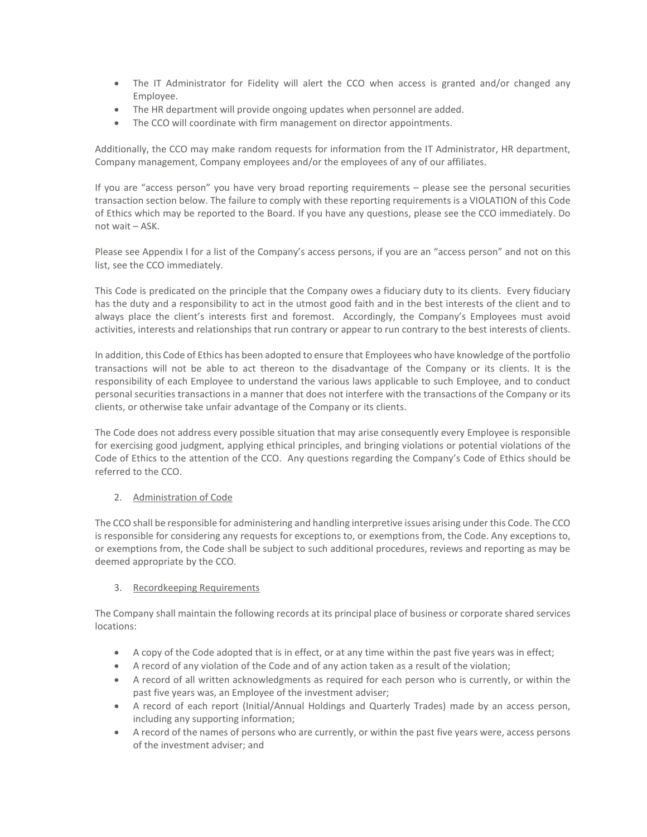- The IT Administrator for Fidelity will alert the CCO when access is granted and/or changed any Employee.
- The HR department will provide ongoing updates when personnel are added.
- The CCO will coordinate with firm management on director appointments.

Additionally, the CCO may make random requests for information from the IT Administrator, HR department, Company management, Company employees and/or the employees of any of our affiliates.

If you are "access person" you have very broad reporting requirements – please see the personal securities transaction section below. The failure to comply with these reporting requirements is a VIOLATION of this Code of Ethics which may be reported to the Board. If you have any questions, please see the CCO immediately. Do not wait – ASK.

Please see Appendix I for a list of the Company's access persons, if you are an "access person" and not on this list, see the CCO immediately.

This Code is predicated on the principle that the Company owes a fiduciary duty to its clients. Every fiduciary has the duty and a responsibility to act in the utmost good faith and in the best interests of the client and to always place the client's interests first and foremost. Accordingly, the Company's Employees must avoid activities, interests and relationships that run contrary or appear to run contrary to the best interests of clients.

In addition, this Code of Ethics has been adopted to ensure that Employees who have knowledge of the portfolio transactions will not be able to act thereon to the disadvantage of the Company or its clients. It is the responsibility of each Employee to understand the various laws applicable to such Employee, and to conduct personal securities transactions in a manner that does not interfere with the transactions of the Company or its clients, or otherwise take unfair advantage of the Company or its clients.

The Code does not address every possible situation that may arise consequently every Employee is responsible for exercising good judgment, applying ethical principles, and bringing violations or potential violations of the Code of Ethics to the attention of the CCO. Any questions regarding the Company's Code of Ethics should be referred to the CCO.

# 2. Administration of Code

The CCO shall be responsible for administering and handling interpretive issues arising under this Code. The CCO is responsible for considering any requests for exceptions to, or exemptions from, the Code. Any exceptions to, or exemptions from, the Code shall be subject to such additional procedures, reviews and reporting as may be deemed appropriate by the CCO.

# 3. Recordkeeping Requirements

The Company shall maintain the following records at its principal place of business or corporate shared services locations:

- A copy of the Code adopted that is in effect, or at any time within the past five years was in effect;
- A record of any violation of the Code and of any action taken as a result of the violation;
- A record of all written acknowledgments as required for each person who is currently, or within the past five years was, an Employee of the investment adviser;
- A record of each report (Initial/Annual Holdings and Quarterly Trades) made by an access person, including any supporting information;
- A record of the names of persons who are currently, or within the past five years were, access persons of the investment adviser; and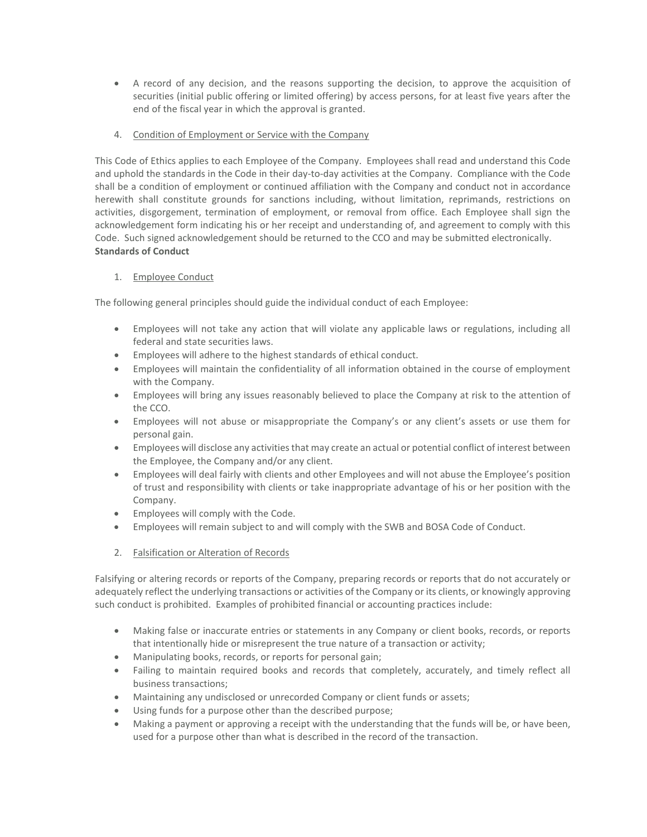- A record of any decision, and the reasons supporting the decision, to approve the acquisition of securities (initial public offering or limited offering) by access persons, for at least five years after the end of the fiscal year in which the approval is granted.
- 4. Condition of Employment or Service with the Company

This Code of Ethics applies to each Employee of the Company. Employees shall read and understand this Code and uphold the standards in the Code in their day-to-day activities at the Company. Compliance with the Code shall be a condition of employment or continued affiliation with the Company and conduct not in accordance herewith shall constitute grounds for sanctions including, without limitation, reprimands, restrictions on activities, disgorgement, termination of employment, or removal from office. Each Employee shall sign the acknowledgement form indicating his or her receipt and understanding of, and agreement to comply with this Code. Such signed acknowledgement should be returned to the CCO and may be submitted electronically. **Standards of Conduct**

# 1. Employee Conduct

The following general principles should guide the individual conduct of each Employee:

- Employees will not take any action that will violate any applicable laws or regulations, including all federal and state securities laws.
- Employees will adhere to the highest standards of ethical conduct.
- Employees will maintain the confidentiality of all information obtained in the course of employment with the Company.
- Employees will bring any issues reasonably believed to place the Company at risk to the attention of the CCO.
- Employees will not abuse or misappropriate the Company's or any client's assets or use them for personal gain.
- Employees will disclose any activities that may create an actual or potential conflict of interest between the Employee, the Company and/or any client.
- Employees will deal fairly with clients and other Employees and will not abuse the Employee's position of trust and responsibility with clients or take inappropriate advantage of his or her position with the Company.
- Employees will comply with the Code.
- Employees will remain subject to and will comply with the SWB and BOSA Code of Conduct.
- 2. Falsification or Alteration of Records

Falsifying or altering records or reports of the Company, preparing records or reports that do not accurately or adequately reflect the underlying transactions or activities of the Company or its clients, or knowingly approving such conduct is prohibited. Examples of prohibited financial or accounting practices include:

- Making false or inaccurate entries or statements in any Company or client books, records, or reports that intentionally hide or misrepresent the true nature of a transaction or activity;
- Manipulating books, records, or reports for personal gain;
- Failing to maintain required books and records that completely, accurately, and timely reflect all business transactions;
- Maintaining any undisclosed or unrecorded Company or client funds or assets;
- Using funds for a purpose other than the described purpose;
- Making a payment or approving a receipt with the understanding that the funds will be, or have been, used for a purpose other than what is described in the record of the transaction.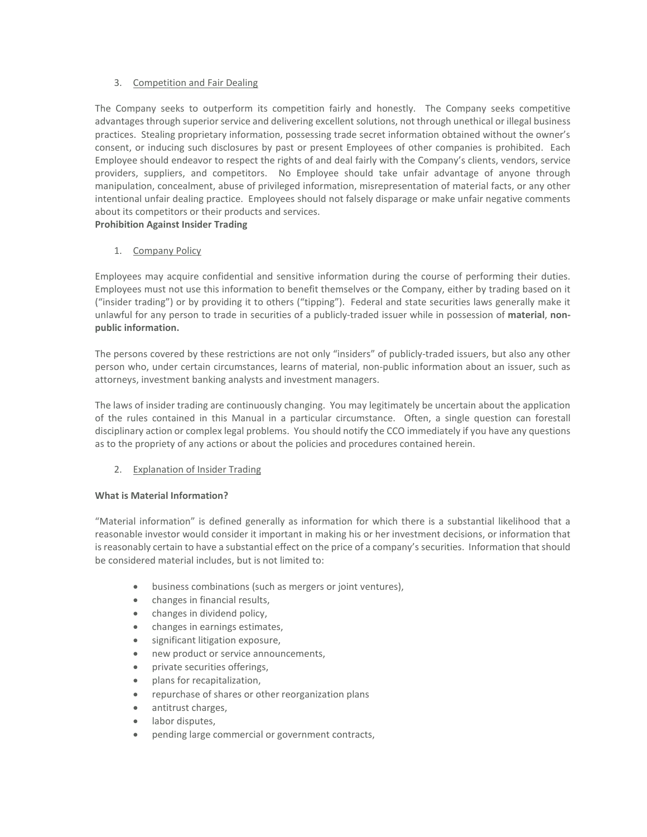# 3. Competition and Fair Dealing

The Company seeks to outperform its competition fairly and honestly. The Company seeks competitive advantages through superior service and delivering excellent solutions, not through unethical or illegal business practices. Stealing proprietary information, possessing trade secret information obtained without the owner's consent, or inducing such disclosures by past or present Employees of other companies is prohibited. Each Employee should endeavor to respect the rights of and deal fairly with the Company's clients, vendors, service providers, suppliers, and competitors. No Employee should take unfair advantage of anyone through manipulation, concealment, abuse of privileged information, misrepresentation of material facts, or any other intentional unfair dealing practice. Employees should not falsely disparage or make unfair negative comments about its competitors or their products and services.

# **Prohibition Against Insider Trading**

# 1. Company Policy

Employees may acquire confidential and sensitive information during the course of performing their duties. Employees must not use this information to benefit themselves or the Company, either by trading based on it ("insider trading") or by providing it to others ("tipping"). Federal and state securities laws generally make it unlawful for any person to trade in securities of a publicly-traded issuer while in possession of **material**, **nonpublic information.**

The persons covered by these restrictions are not only "insiders" of publicly-traded issuers, but also any other person who, under certain circumstances, learns of material, non-public information about an issuer, such as attorneys, investment banking analysts and investment managers.

The laws of insider trading are continuously changing. You may legitimately be uncertain about the application of the rules contained in this Manual in a particular circumstance. Often, a single question can forestall disciplinary action or complex legal problems. You should notify the CCO immediately if you have any questions as to the propriety of any actions or about the policies and procedures contained herein.

# 2. Explanation of Insider Trading

# **What is Material Information?**

"Material information" is defined generally as information for which there is a substantial likelihood that a reasonable investor would consider it important in making his or her investment decisions, or information that is reasonably certain to have a substantial effect on the price of a company's securities. Information that should be considered material includes, but is not limited to:

- business combinations (such as mergers or joint ventures),
- changes in financial results,
- changes in dividend policy,
- changes in earnings estimates,
- significant litigation exposure,
- new product or service announcements,
- private securities offerings,
- plans for recapitalization,
- repurchase of shares or other reorganization plans
- antitrust charges,
- labor disputes,
- pending large commercial or government contracts,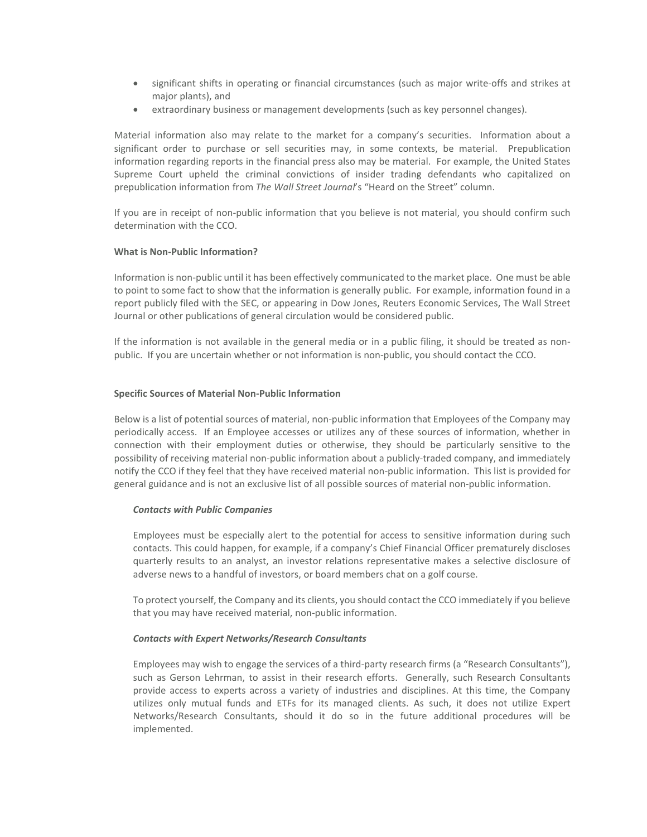- significant shifts in operating or financial circumstances (such as major write-offs and strikes at major plants), and
- extraordinary business or management developments (such as key personnel changes).

Material information also may relate to the market for a company's securities. Information about a significant order to purchase or sell securities may, in some contexts, be material. Prepublication information regarding reports in the financial press also may be material. For example, the United States Supreme Court upheld the criminal convictions of insider trading defendants who capitalized on prepublication information from *The Wall Street Journal*'s "Heard on the Street" column.

If you are in receipt of non-public information that you believe is not material, you should confirm such determination with the CCO.

#### **What is Non-Public Information?**

Information is non-public until it has been effectively communicated to the market place. One must be able to point to some fact to show that the information is generally public. For example, information found in a report publicly filed with the SEC, or appearing in Dow Jones, Reuters Economic Services, The Wall Street Journal or other publications of general circulation would be considered public.

If the information is not available in the general media or in a public filing, it should be treated as nonpublic. If you are uncertain whether or not information is non-public, you should contact the CCO.

#### **Specific Sources of Material Non-Public Information**

Below is a list of potential sources of material, non-public information that Employees of the Company may periodically access. If an Employee accesses or utilizes any of these sources of information, whether in connection with their employment duties or otherwise, they should be particularly sensitive to the possibility of receiving material non-public information about a publicly-traded company, and immediately notify the CCO if they feel that they have received material non-public information. This list is provided for general guidance and is not an exclusive list of all possible sources of material non-public information.

#### *Contacts with Public Companies*

Employees must be especially alert to the potential for access to sensitive information during such contacts. This could happen, for example, if a company's Chief Financial Officer prematurely discloses quarterly results to an analyst, an investor relations representative makes a selective disclosure of adverse news to a handful of investors, or board members chat on a golf course.

To protect yourself, the Company and its clients, you should contact the CCO immediately if you believe that you may have received material, non-public information.

#### *Contacts with Expert Networks/Research Consultants*

Employees may wish to engage the services of a third-party research firms (a "Research Consultants"), such as Gerson Lehrman, to assist in their research efforts. Generally, such Research Consultants provide access to experts across a variety of industries and disciplines. At this time, the Company utilizes only mutual funds and ETFs for its managed clients. As such, it does not utilize Expert Networks/Research Consultants, should it do so in the future additional procedures will be implemented.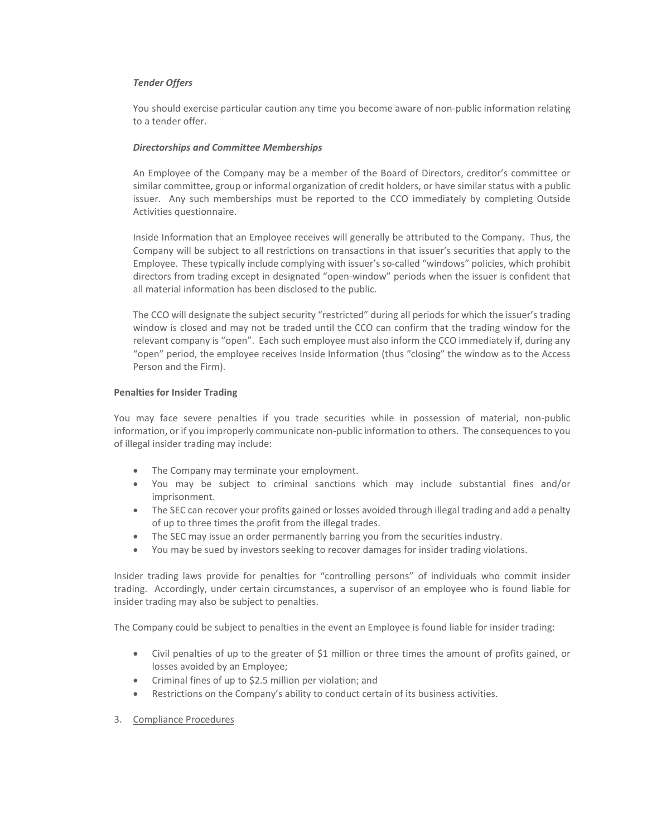#### *Tender Offers*

You should exercise particular caution any time you become aware of non-public information relating to a tender offer.

#### *Directorships and Committee Memberships*

An Employee of the Company may be a member of the Board of Directors, creditor's committee or similar committee, group or informal organization of credit holders, or have similar status with a public issuer. Any such memberships must be reported to the CCO immediately by completing Outside Activities questionnaire.

Inside Information that an Employee receives will generally be attributed to the Company. Thus, the Company will be subject to all restrictions on transactions in that issuer's securities that apply to the Employee. These typically include complying with issuer's so-called "windows" policies, which prohibit directors from trading except in designated "open-window" periods when the issuer is confident that all material information has been disclosed to the public.

The CCO will designate the subject security "restricted" during all periods for which the issuer's trading window is closed and may not be traded until the CCO can confirm that the trading window for the relevant company is "open". Each such employee must also inform the CCO immediately if, during any "open" period, the employee receives Inside Information (thus "closing" the window as to the Access Person and the Firm).

#### **Penalties for Insider Trading**

You may face severe penalties if you trade securities while in possession of material, non-public information, or if you improperly communicate non-public information to others. The consequences to you of illegal insider trading may include:

- The Company may terminate your employment.
- You may be subject to criminal sanctions which may include substantial fines and/or imprisonment.
- The SEC can recover your profits gained or losses avoided through illegal trading and add a penalty of up to three times the profit from the illegal trades.
- The SEC may issue an order permanently barring you from the securities industry.
- You may be sued by investors seeking to recover damages for insider trading violations.

Insider trading laws provide for penalties for "controlling persons" of individuals who commit insider trading. Accordingly, under certain circumstances, a supervisor of an employee who is found liable for insider trading may also be subject to penalties.

The Company could be subject to penalties in the event an Employee is found liable for insider trading:

- Civil penalties of up to the greater of \$1 million or three times the amount of profits gained, or losses avoided by an Employee;
- Criminal fines of up to \$2.5 million per violation; and
- Restrictions on the Company's ability to conduct certain of its business activities.
- 3. Compliance Procedures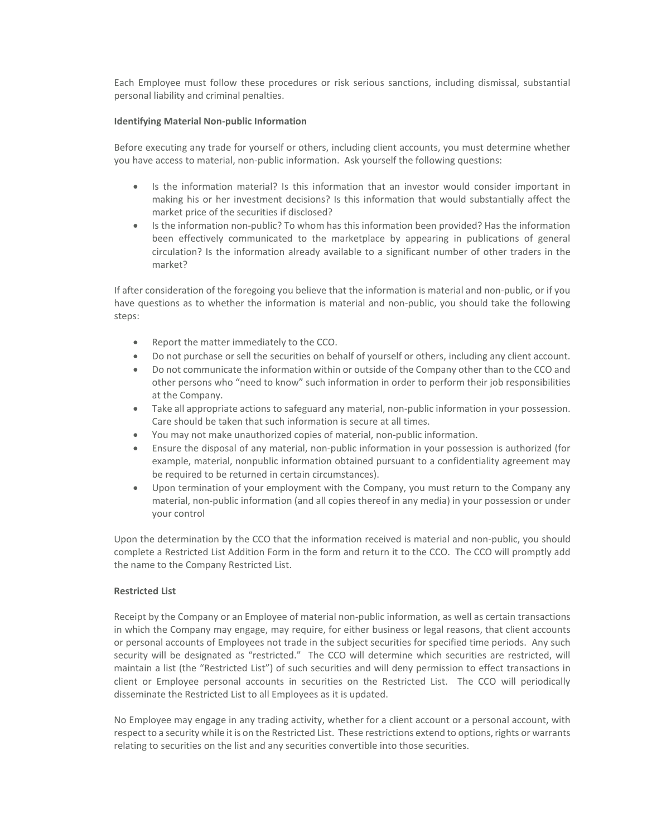Each Employee must follow these procedures or risk serious sanctions, including dismissal, substantial personal liability and criminal penalties.

#### **Identifying Material Non-public Information**

Before executing any trade for yourself or others, including client accounts, you must determine whether you have access to material, non-public information. Ask yourself the following questions:

- Is the information material? Is this information that an investor would consider important in making his or her investment decisions? Is this information that would substantially affect the market price of the securities if disclosed?
- Is the information non-public? To whom has this information been provided? Has the information been effectively communicated to the marketplace by appearing in publications of general circulation? Is the information already available to a significant number of other traders in the market?

If after consideration of the foregoing you believe that the information is material and non-public, or if you have questions as to whether the information is material and non-public, you should take the following steps:

- Report the matter immediately to the CCO.
- Do not purchase or sell the securities on behalf of yourself or others, including any client account.
- Do not communicate the information within or outside of the Company other than to the CCO and other persons who "need to know" such information in order to perform their job responsibilities at the Company.
- Take all appropriate actions to safeguard any material, non-public information in your possession. Care should be taken that such information is secure at all times.
- You may not make unauthorized copies of material, non-public information.
- Ensure the disposal of any material, non-public information in your possession is authorized (for example, material, nonpublic information obtained pursuant to a confidentiality agreement may be required to be returned in certain circumstances).
- Upon termination of your employment with the Company, you must return to the Company any material, non-public information (and all copies thereof in any media) in your possession or under your control

Upon the determination by the CCO that the information received is material and non-public, you should complete a Restricted List Addition Form in the form and return it to the CCO. The CCO will promptly add the name to the Company Restricted List.

# **Restricted List**

Receipt by the Company or an Employee of material non-public information, as well as certain transactions in which the Company may engage, may require, for either business or legal reasons, that client accounts or personal accounts of Employees not trade in the subject securities for specified time periods. Any such security will be designated as "restricted." The CCO will determine which securities are restricted, will maintain a list (the "Restricted List") of such securities and will deny permission to effect transactions in client or Employee personal accounts in securities on the Restricted List. The CCO will periodically disseminate the Restricted List to all Employees as it is updated.

No Employee may engage in any trading activity, whether for a client account or a personal account, with respect to a security while it is on the Restricted List. These restrictions extend to options, rights or warrants relating to securities on the list and any securities convertible into those securities.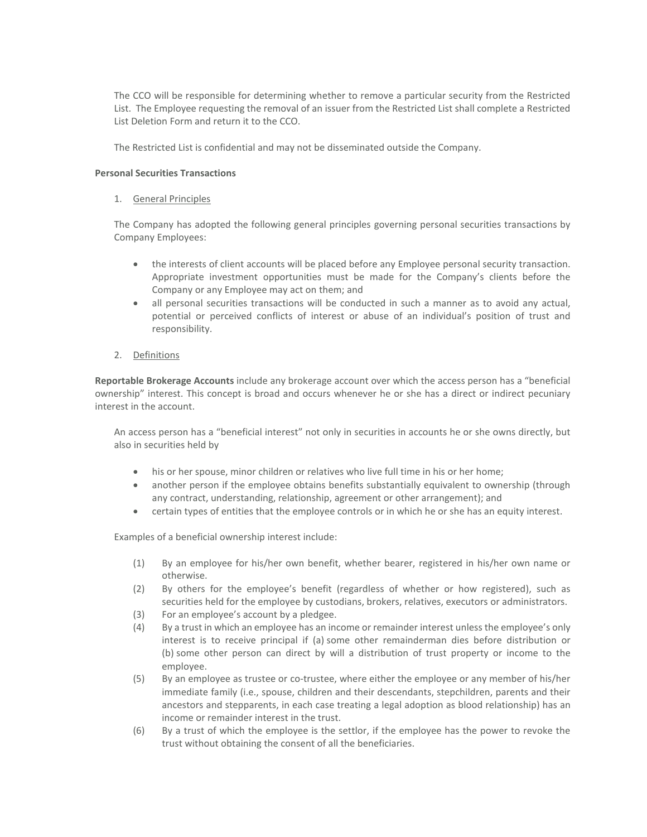The CCO will be responsible for determining whether to remove a particular security from the Restricted List. The Employee requesting the removal of an issuer from the Restricted List shall complete a Restricted List Deletion Form and return it to the CCO.

The Restricted List is confidential and may not be disseminated outside the Company.

#### **Personal Securities Transactions**

#### 1. General Principles

The Company has adopted the following general principles governing personal securities transactions by Company Employees:

- the interests of client accounts will be placed before any Employee personal security transaction. Appropriate investment opportunities must be made for the Company's clients before the Company or any Employee may act on them; and
- all personal securities transactions will be conducted in such a manner as to avoid any actual, potential or perceived conflicts of interest or abuse of an individual's position of trust and responsibility.
- 2. Definitions

**Reportable Brokerage Accounts** include any brokerage account over which the access person has a "beneficial ownership" interest. This concept is broad and occurs whenever he or she has a direct or indirect pecuniary interest in the account.

An access person has a "beneficial interest" not only in securities in accounts he or she owns directly, but also in securities held by

- his or her spouse, minor children or relatives who live full time in his or her home;
- another person if the employee obtains benefits substantially equivalent to ownership (through any contract, understanding, relationship, agreement or other arrangement); and
- certain types of entities that the employee controls or in which he or she has an equity interest.

Examples of a beneficial ownership interest include:

- (1) By an employee for his/her own benefit, whether bearer, registered in his/her own name or otherwise.
- (2) By others for the employee's benefit (regardless of whether or how registered), such as securities held for the employee by custodians, brokers, relatives, executors or administrators.
- (3) For an employee's account by a pledgee.
- (4) By a trust in which an employee has an income or remainder interest unless the employee's only interest is to receive principal if (a) some other remainderman dies before distribution or (b) some other person can direct by will a distribution of trust property or income to the employee.
- (5) By an employee as trustee or co-trustee, where either the employee or any member of his/her immediate family (i.e., spouse, children and their descendants, stepchildren, parents and their ancestors and stepparents, in each case treating a legal adoption as blood relationship) has an income or remainder interest in the trust.
- (6) By a trust of which the employee is the settlor, if the employee has the power to revoke the trust without obtaining the consent of all the beneficiaries.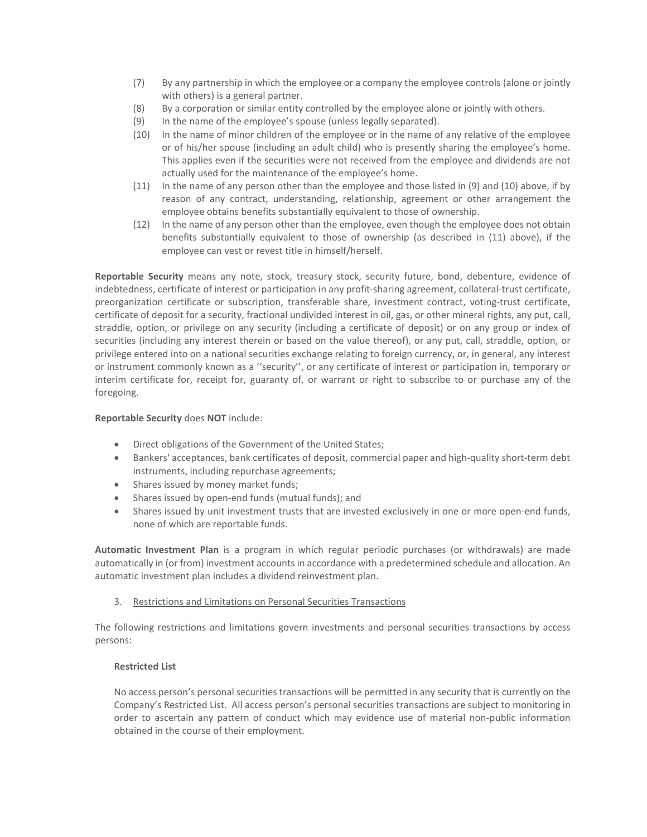- (7) By any partnership in which the employee or a company the employee controls (alone or jointly with others) is a general partner.
- (8) By a corporation or similar entity controlled by the employee alone or jointly with others.
- (9) In the name of the employee's spouse (unless legally separated).
- (10) In the name of minor children of the employee or in the name of any relative of the employee or of his/her spouse (including an adult child) who is presently sharing the employee's home. This applies even if the securities were not received from the employee and dividends are not actually used for the maintenance of the employee's home.
- (11) In the name of any person other than the employee and those listed in (9) and (10) above, if by reason of any contract, understanding, relationship, agreement or other arrangement the employee obtains benefits substantially equivalent to those of ownership.
- (12) In the name of any person other than the employee, even though the employee does not obtain benefits substantially equivalent to those of ownership (as described in (11) above), if the employee can vest or revest title in himself/herself.

**Reportable Security** means any note, stock, treasury stock, security future, bond, debenture, evidence of indebtedness, certificate of interest or participation in any profit-sharing agreement, collateral-trust certificate, preorganization certificate or subscription, transferable share, investment contract, voting-trust certificate, certificate of deposit for a security, fractional undivided interest in oil, gas, or other mineral rights, any put, call, straddle, option, or privilege on any security (including a certificate of deposit) or on any group or index of securities (including any interest therein or based on the value thereof), or any put, call, straddle, option, or privilege entered into on a national securities exchange relating to foreign currency, or, in general, any interest or instrument commonly known as a ''security'', or any certificate of interest or participation in, temporary or interim certificate for, receipt for, guaranty of, or warrant or right to subscribe to or purchase any of the foregoing.

# **Reportable Security** does **NOT** include:

- Direct obligations of the Government of the United States;
- Bankers' acceptances, bank certificates of deposit, commercial paper and high-quality short-term debt instruments, including repurchase agreements;
- Shares issued by money market funds;
- Shares issued by open-end funds (mutual funds); and
- Shares issued by unit investment trusts that are invested exclusively in one or more open-end funds, none of which are reportable funds.

**Automatic Investment Plan** is a program in which regular periodic purchases (or withdrawals) are made automatically in (or from) investment accounts in accordance with a predetermined schedule and allocation. An automatic investment plan includes a dividend reinvestment plan.

3. Restrictions and Limitations on Personal Securities Transactions

The following restrictions and limitations govern investments and personal securities transactions by access persons:

# **Restricted List**

No access person's personal securities transactions will be permitted in any security that is currently on the Company's Restricted List. All access person's personal securities transactions are subject to monitoring in order to ascertain any pattern of conduct which may evidence use of material non-public information obtained in the course of their employment.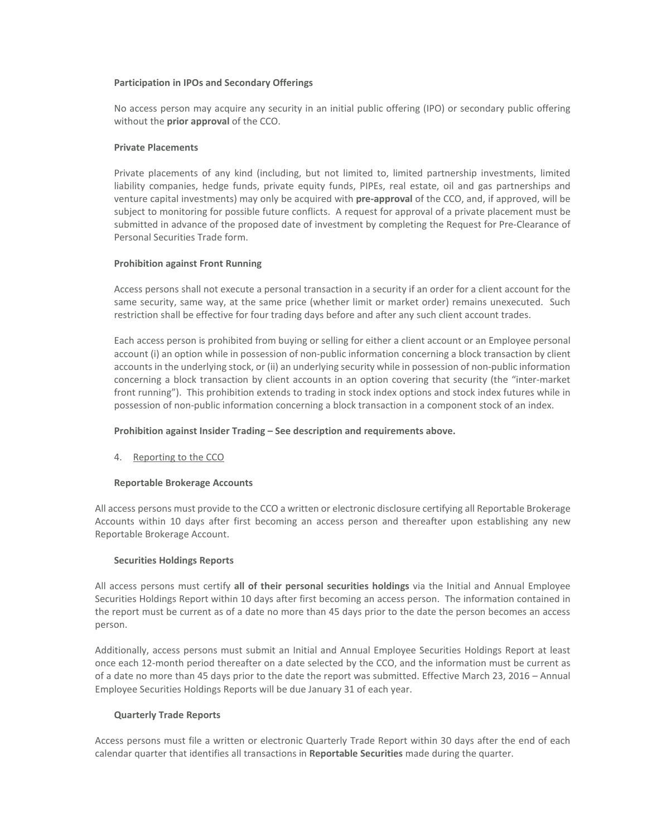#### **Participation in IPOs and Secondary Offerings**

No access person may acquire any security in an initial public offering (IPO) or secondary public offering without the **prior approval** of the CCO.

#### **Private Placements**

Private placements of any kind (including, but not limited to, limited partnership investments, limited liability companies, hedge funds, private equity funds, PIPEs, real estate, oil and gas partnerships and venture capital investments) may only be acquired with **pre-approval** of the CCO, and, if approved, will be subject to monitoring for possible future conflicts. A request for approval of a private placement must be submitted in advance of the proposed date of investment by completing the Request for Pre-Clearance of Personal Securities Trade form.

# **Prohibition against Front Running**

Access persons shall not execute a personal transaction in a security if an order for a client account for the same security, same way, at the same price (whether limit or market order) remains unexecuted. Such restriction shall be effective for four trading days before and after any such client account trades.

Each access person is prohibited from buying or selling for either a client account or an Employee personal account (i) an option while in possession of non-public information concerning a block transaction by client accounts in the underlying stock, or (ii) an underlying security while in possession of non-public information concerning a block transaction by client accounts in an option covering that security (the "inter-market front running"). This prohibition extends to trading in stock index options and stock index futures while in possession of non-public information concerning a block transaction in a component stock of an index.

# **Prohibition against Insider Trading – See description and requirements above.**

4. Reporting to the CCO

# **Reportable Brokerage Accounts**

All access persons must provide to the CCO a written or electronic disclosure certifying all Reportable Brokerage Accounts within 10 days after first becoming an access person and thereafter upon establishing any new Reportable Brokerage Account.

#### **Securities Holdings Reports**

All access persons must certify **all of their personal securities holdings** via the Initial and Annual Employee Securities Holdings Report within 10 days after first becoming an access person. The information contained in the report must be current as of a date no more than 45 days prior to the date the person becomes an access person.

Additionally, access persons must submit an Initial and Annual Employee Securities Holdings Report at least once each 12-month period thereafter on a date selected by the CCO, and the information must be current as of a date no more than 45 days prior to the date the report was submitted. Effective March 23, 2016 – Annual Employee Securities Holdings Reports will be due January 31 of each year.

# **Quarterly Trade Reports**

Access persons must file a written or electronic Quarterly Trade Report within 30 days after the end of each calendar quarter that identifies all transactions in **Reportable Securities** made during the quarter.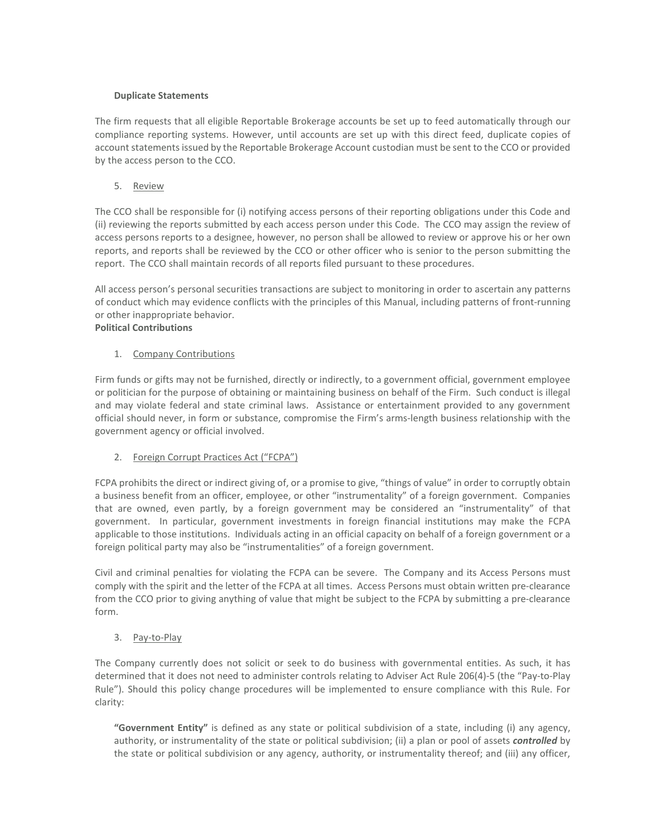# **Duplicate Statements**

The firm requests that all eligible Reportable Brokerage accounts be set up to feed automatically through our compliance reporting systems. However, until accounts are set up with this direct feed, duplicate copies of account statements issued by the Reportable Brokerage Account custodian must be sent to the CCO or provided by the access person to the CCO.

5. Review

The CCO shall be responsible for (i) notifying access persons of their reporting obligations under this Code and (ii) reviewing the reports submitted by each access person under this Code. The CCO may assign the review of access persons reports to a designee, however, no person shall be allowed to review or approve his or her own reports, and reports shall be reviewed by the CCO or other officer who is senior to the person submitting the report. The CCO shall maintain records of all reports filed pursuant to these procedures.

All access person's personal securities transactions are subject to monitoring in order to ascertain any patterns of conduct which may evidence conflicts with the principles of this Manual, including patterns of front-running or other inappropriate behavior.

# **Political Contributions**

# 1. Company Contributions

Firm funds or gifts may not be furnished, directly or indirectly, to a government official, government employee or politician for the purpose of obtaining or maintaining business on behalf of the Firm. Such conduct is illegal and may violate federal and state criminal laws. Assistance or entertainment provided to any government official should never, in form or substance, compromise the Firm's arms-length business relationship with the government agency or official involved.

# 2. Foreign Corrupt Practices Act ("FCPA")

FCPA prohibits the direct or indirect giving of, or a promise to give, "things of value" in order to corruptly obtain a business benefit from an officer, employee, or other "instrumentality" of a foreign government. Companies that are owned, even partly, by a foreign government may be considered an "instrumentality" of that government. In particular, government investments in foreign financial institutions may make the FCPA applicable to those institutions. Individuals acting in an official capacity on behalf of a foreign government or a foreign political party may also be "instrumentalities" of a foreign government.

Civil and criminal penalties for violating the FCPA can be severe. The Company and its Access Persons must comply with the spirit and the letter of the FCPA at all times. Access Persons must obtain written pre-clearance from the CCO prior to giving anything of value that might be subject to the FCPA by submitting a pre-clearance form.

# 3. Pay-to-Play

The Company currently does not solicit or seek to do business with governmental entities. As such, it has determined that it does not need to administer controls relating to Adviser Act Rule 206(4)-5 (the "Pay-to-Play Rule"). Should this policy change procedures will be implemented to ensure compliance with this Rule. For clarity:

**"Government Entity"** is defined as any state or political subdivision of a state, including (i) any agency, authority, or instrumentality of the state or political subdivision; (ii) a plan or pool of assets *controlled* by the state or political subdivision or any agency, authority, or instrumentality thereof; and (iii) any officer,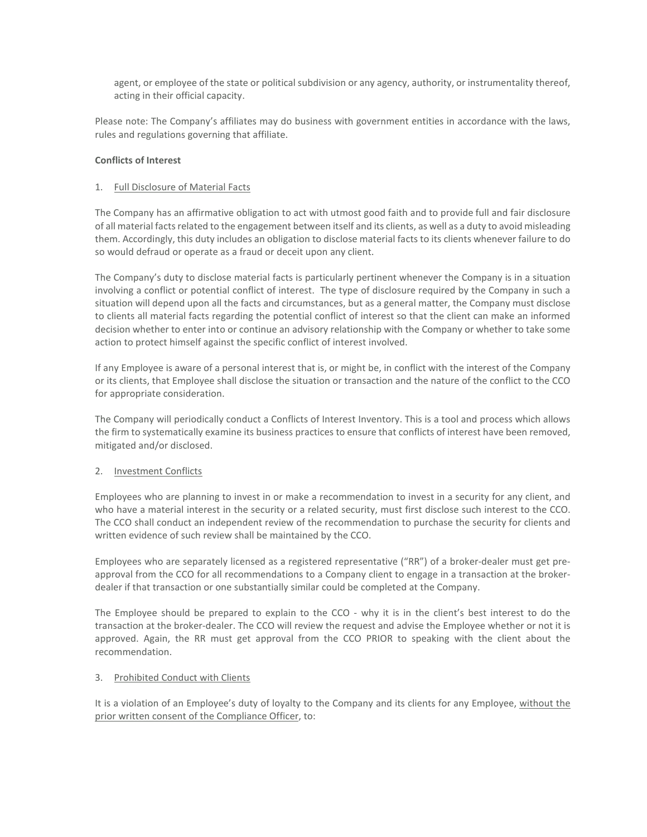agent, or employee of the state or political subdivision or any agency, authority, or instrumentality thereof, acting in their official capacity.

Please note: The Company's affiliates may do business with government entities in accordance with the laws, rules and regulations governing that affiliate.

# **Conflicts of Interest**

# 1. Full Disclosure of Material Facts

The Company has an affirmative obligation to act with utmost good faith and to provide full and fair disclosure of all material facts related to the engagement between itself and its clients, as well as a duty to avoid misleading them. Accordingly, this duty includes an obligation to disclose material facts to its clients whenever failure to do so would defraud or operate as a fraud or deceit upon any client.

The Company's duty to disclose material facts is particularly pertinent whenever the Company is in a situation involving a conflict or potential conflict of interest. The type of disclosure required by the Company in such a situation will depend upon all the facts and circumstances, but as a general matter, the Company must disclose to clients all material facts regarding the potential conflict of interest so that the client can make an informed decision whether to enter into or continue an advisory relationship with the Company or whether to take some action to protect himself against the specific conflict of interest involved.

If any Employee is aware of a personal interest that is, or might be, in conflict with the interest of the Company or its clients, that Employee shall disclose the situation or transaction and the nature of the conflict to the CCO for appropriate consideration.

The Company will periodically conduct a Conflicts of Interest Inventory. This is a tool and process which allows the firm to systematically examine its business practices to ensure that conflicts of interest have been removed, mitigated and/or disclosed.

# 2. Investment Conflicts

Employees who are planning to invest in or make a recommendation to invest in a security for any client, and who have a material interest in the security or a related security, must first disclose such interest to the CCO. The CCO shall conduct an independent review of the recommendation to purchase the security for clients and written evidence of such review shall be maintained by the CCO.

Employees who are separately licensed as a registered representative ("RR") of a broker-dealer must get preapproval from the CCO for all recommendations to a Company client to engage in a transaction at the brokerdealer if that transaction or one substantially similar could be completed at the Company.

The Employee should be prepared to explain to the CCO - why it is in the client's best interest to do the transaction at the broker-dealer. The CCO will review the request and advise the Employee whether or not it is approved. Again, the RR must get approval from the CCO PRIOR to speaking with the client about the recommendation.

# 3. Prohibited Conduct with Clients

It is a violation of an Employee's duty of loyalty to the Company and its clients for any Employee, without the prior written consent of the Compliance Officer, to: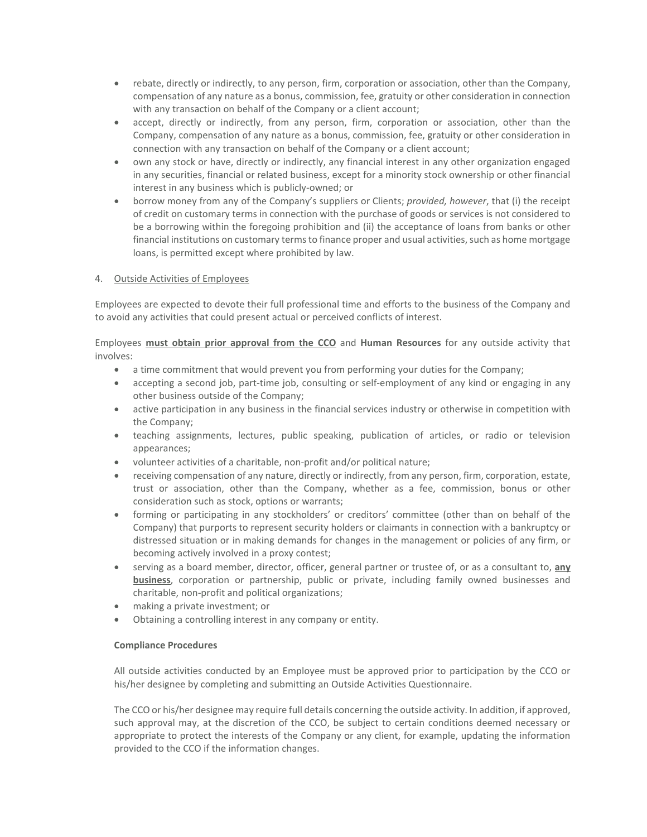- rebate, directly or indirectly, to any person, firm, corporation or association, other than the Company, compensation of any nature as a bonus, commission, fee, gratuity or other consideration in connection with any transaction on behalf of the Company or a client account;
- accept, directly or indirectly, from any person, firm, corporation or association, other than the Company, compensation of any nature as a bonus, commission, fee, gratuity or other consideration in connection with any transaction on behalf of the Company or a client account;
- own any stock or have, directly or indirectly, any financial interest in any other organization engaged in any securities, financial or related business, except for a minority stock ownership or other financial interest in any business which is publicly-owned; or
- borrow money from any of the Company's suppliers or Clients; *provided, however*, that (i) the receipt of credit on customary terms in connection with the purchase of goods or services is not considered to be a borrowing within the foregoing prohibition and (ii) the acceptance of loans from banks or other financial institutions on customary terms to finance proper and usual activities, such as home mortgage loans, is permitted except where prohibited by law.

# 4. Outside Activities of Employees

Employees are expected to devote their full professional time and efforts to the business of the Company and to avoid any activities that could present actual or perceived conflicts of interest.

Employees **must obtain prior approval from the CCO** and **Human Resources** for any outside activity that involves:

- a time commitment that would prevent you from performing your duties for the Company;
- accepting a second job, part-time job, consulting or self-employment of any kind or engaging in any other business outside of the Company;
- active participation in any business in the financial services industry or otherwise in competition with the Company;
- teaching assignments, lectures, public speaking, publication of articles, or radio or television appearances;
- volunteer activities of a charitable, non-profit and/or political nature;
- receiving compensation of any nature, directly or indirectly, from any person, firm, corporation, estate, trust or association, other than the Company, whether as a fee, commission, bonus or other consideration such as stock, options or warrants;
- forming or participating in any stockholders' or creditors' committee (other than on behalf of the Company) that purports to represent security holders or claimants in connection with a bankruptcy or distressed situation or in making demands for changes in the management or policies of any firm, or becoming actively involved in a proxy contest;
- serving as a board member, director, officer, general partner or trustee of, or as a consultant to, **any business**, corporation or partnership, public or private, including family owned businesses and charitable, non-profit and political organizations;
- making a private investment; or
- Obtaining a controlling interest in any company or entity.

# **Compliance Procedures**

All outside activities conducted by an Employee must be approved prior to participation by the CCO or his/her designee by completing and submitting an Outside Activities Questionnaire.

The CCO or his/her designee may require full details concerning the outside activity. In addition, if approved, such approval may, at the discretion of the CCO, be subject to certain conditions deemed necessary or appropriate to protect the interests of the Company or any client, for example, updating the information provided to the CCO if the information changes.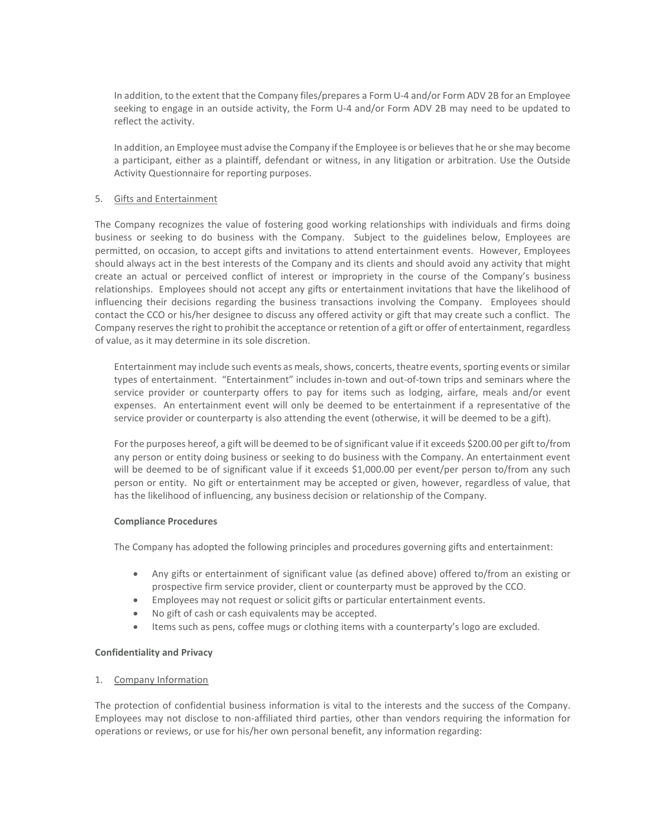In addition, to the extent that the Company files/prepares a Form U-4 and/or Form ADV 2B for an Employee seeking to engage in an outside activity, the Form U-4 and/or Form ADV 2B may need to be updated to reflect the activity.

In addition, an Employee must advise the Company if the Employee is or believes that he or she may become a participant, either as a plaintiff, defendant or witness, in any litigation or arbitration. Use the Outside Activity Questionnaire for reporting purposes.

#### 5. Gifts and Entertainment

The Company recognizes the value of fostering good working relationships with individuals and firms doing business or seeking to do business with the Company. Subject to the guidelines below, Employees are permitted, on occasion, to accept gifts and invitations to attend entertainment events. However, Employees should always act in the best interests of the Company and its clients and should avoid any activity that might create an actual or perceived conflict of interest or impropriety in the course of the Company's business relationships. Employees should not accept any gifts or entertainment invitations that have the likelihood of influencing their decisions regarding the business transactions involving the Company. Employees should contact the CCO or his/her designee to discuss any offered activity or gift that may create such a conflict. The Company reserves the right to prohibit the acceptance or retention of a gift or offer of entertainment, regardless of value, as it may determine in its sole discretion.

Entertainment may include such events as meals, shows, concerts, theatre events, sporting events or similar types of entertainment. "Entertainment" includes in-town and out-of-town trips and seminars where the service provider or counterparty offers to pay for items such as lodging, airfare, meals and/or event expenses. An entertainment event will only be deemed to be entertainment if a representative of the service provider or counterparty is also attending the event (otherwise, it will be deemed to be a gift).

For the purposes hereof, a gift will be deemed to be of significant value if it exceeds \$200.00 per gift to/from any person or entity doing business or seeking to do business with the Company. An entertainment event will be deemed to be of significant value if it exceeds \$1,000.00 per event/per person to/from any such person or entity. No gift or entertainment may be accepted or given, however, regardless of value, that has the likelihood of influencing, any business decision or relationship of the Company.

#### **Compliance Procedures**

The Company has adopted the following principles and procedures governing gifts and entertainment:

- Any gifts or entertainment of significant value (as defined above) offered to/from an existing or prospective firm service provider, client or counterparty must be approved by the CCO.
- Employees may not request or solicit gifts or particular entertainment events.
- No gift of cash or cash equivalents may be accepted.
- Items such as pens, coffee mugs or clothing items with a counterparty's logo are excluded.

# **Confidentiality and Privacy**

1. Company Information

The protection of confidential business information is vital to the interests and the success of the Company. Employees may not disclose to non-affiliated third parties, other than vendors requiring the information for operations or reviews, or use for his/her own personal benefit, any information regarding: